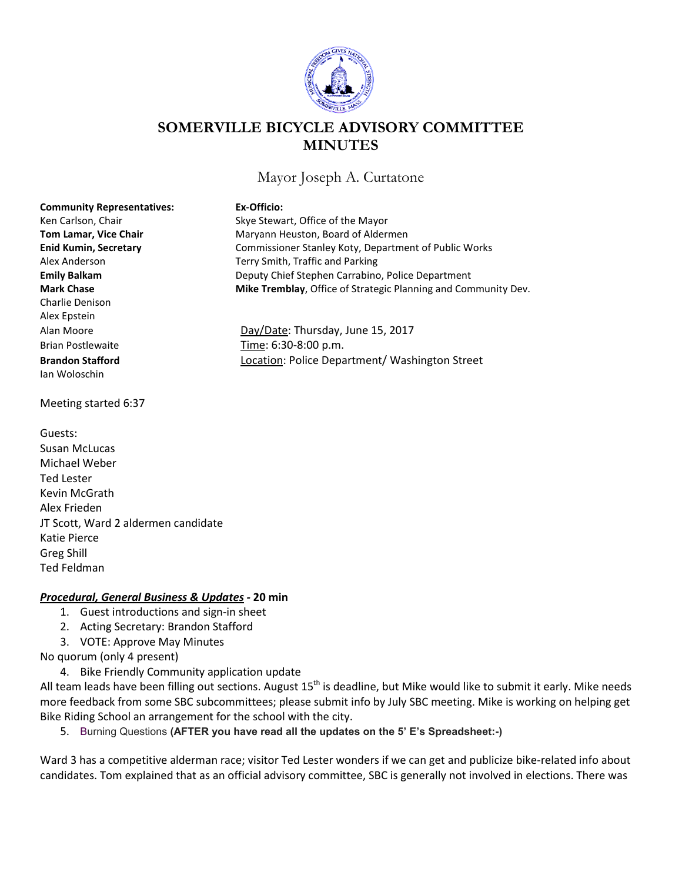

## **SOMERVILLE BICYCLE ADVISORY COMMITTEE MINUTES**

Mayor Joseph A. Curtatone

| <b>Community Representatives:</b>   | Ex-Officio:                                                    |
|-------------------------------------|----------------------------------------------------------------|
| Ken Carlson, Chair                  | Skye Stewart, Office of the Mayor                              |
| <b>Tom Lamar, Vice Chair</b>        | Maryann Heuston, Board of Aldermen                             |
| <b>Enid Kumin, Secretary</b>        | Commissioner Stanley Koty, Department of Public Works          |
| Alex Anderson                       | Terry Smith, Traffic and Parking                               |
| <b>Emily Balkam</b>                 | Deputy Chief Stephen Carrabino, Police Department              |
| <b>Mark Chase</b>                   | Mike Tremblay, Office of Strategic Planning and Community Dev. |
| <b>Charlie Denison</b>              |                                                                |
| Alex Epstein                        |                                                                |
| Alan Moore                          | Day/Date: Thursday, June 15, 2017                              |
| <b>Brian Postlewaite</b>            | Time: 6:30-8:00 p.m.                                           |
| <b>Brandon Stafford</b>             | Location: Police Department/ Washington Street                 |
| lan Woloschin                       |                                                                |
|                                     |                                                                |
| Meeting started 6:37                |                                                                |
|                                     |                                                                |
| Guests:                             |                                                                |
| Susan McLucas                       |                                                                |
| Michael Weber                       |                                                                |
| <b>Ted Lester</b>                   |                                                                |
| Kevin McGrath                       |                                                                |
| Alex Frieden                        |                                                                |
| JT Scott, Ward 2 aldermen candidate |                                                                |
| Katie Pierce                        |                                                                |
| Greg Shill                          |                                                                |

## *Procedural, General Business & Updates -* **20 min**

- 1. Guest introductions and sign-in sheet
- 2. Acting Secretary: Brandon Stafford
- 3. VOTE: Approve May Minutes

No quorum (only 4 present)

Ted Feldman

4. Bike Friendly Community application update

All team leads have been filling out sections. August  $15<sup>th</sup>$  is deadline, but Mike would like to submit it early. Mike needs more feedback from some SBC subcommittees; please submit info by July SBC meeting. Mike is working on helping get Bike Riding School an arrangement for the school with the city.

5. Burning Questions **(AFTER you have read all the updates on the 5' E's Spreadsheet:-)**

Ward 3 has a competitive alderman race; visitor Ted Lester wonders if we can get and publicize bike-related info about candidates. Tom explained that as an official advisory committee, SBC is generally not involved in elections. There was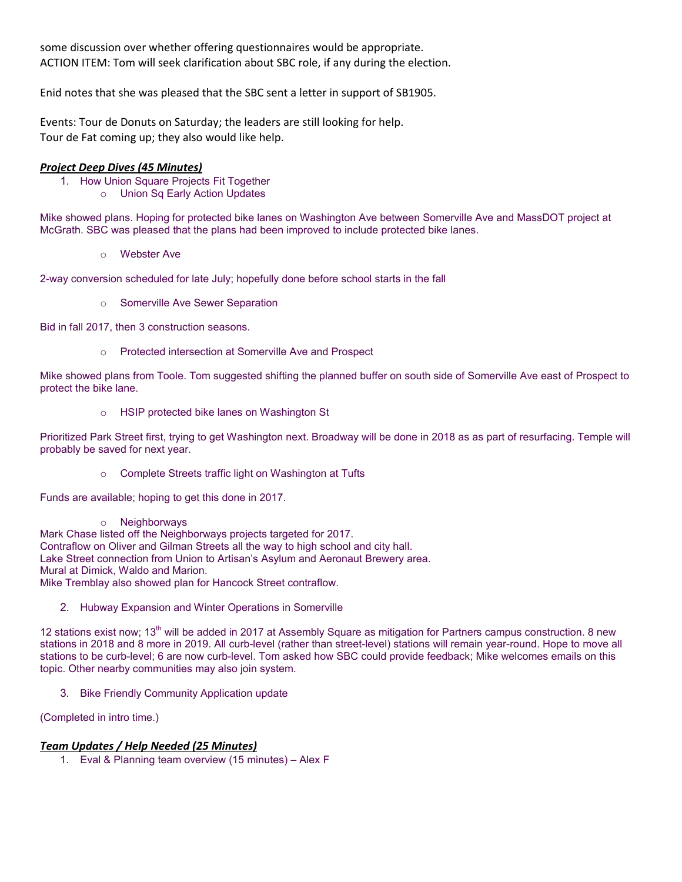some discussion over whether offering questionnaires would be appropriate. ACTION ITEM: Tom will seek clarification about SBC role, if any during the election.

Enid notes that she was pleased that the SBC sent a letter in support of SB1905.

Events: Tour de Donuts on Saturday; the leaders are still looking for help. Tour de Fat coming up; they also would like help.

## *Project Deep Dives (45 Minutes)*

- 1. How Union Square Projects Fit Together
	- o Union Sq Early Action Updates

Mike showed plans. Hoping for protected bike lanes on Washington Ave between Somerville Ave and MassDOT project at McGrath. SBC was pleased that the plans had been improved to include protected bike lanes.

o Webster Ave

2-way conversion scheduled for late July; hopefully done before school starts in the fall

o Somerville Ave Sewer Separation

Bid in fall 2017, then 3 construction seasons.

o Protected intersection at Somerville Ave and Prospect

Mike showed plans from Toole. Tom suggested shifting the planned buffer on south side of Somerville Ave east of Prospect to protect the bike lane.

o HSIP protected bike lanes on Washington St

Prioritized Park Street first, trying to get Washington next. Broadway will be done in 2018 as as part of resurfacing. Temple will probably be saved for next year.

o Complete Streets traffic light on Washington at Tufts

Funds are available; hoping to get this done in 2017.

o Neighborways

Mark Chase listed off the Neighborways projects targeted for 2017. Contraflow on Oliver and Gilman Streets all the way to high school and city hall. Lake Street connection from Union to Artisan's Asylum and Aeronaut Brewery area. Mural at Dimick, Waldo and Marion. Mike Tremblay also showed plan for Hancock Street contraflow.

2. Hubway Expansion and Winter Operations in Somerville

12 stations exist now; 13<sup>th</sup> will be added in 2017 at Assembly Square as mitigation for Partners campus construction. 8 new stations in 2018 and 8 more in 2019. All curb-level (rather than street-level) stations will remain year-round. Hope to move all stations to be curb-level; 6 are now curb-level. Tom asked how SBC could provide feedback; Mike welcomes emails on this topic. Other nearby communities may also join system.

3. Bike Friendly Community Application update

(Completed in intro time.)

## *Team Updates / Help Needed (25 Minutes)*

1. Eval & Planning team overview (15 minutes) – Alex F